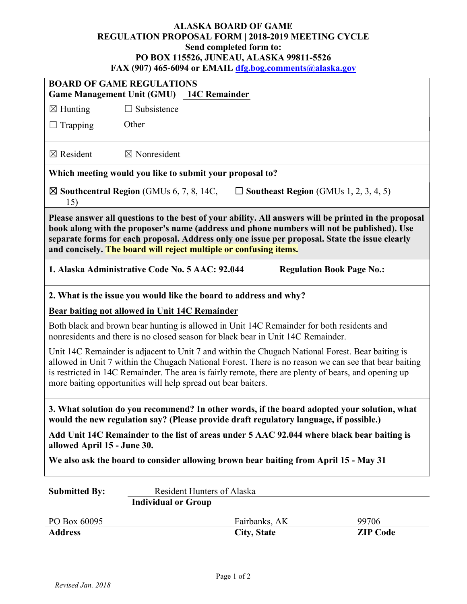## **ALASKA BOARD OF GAME REGULATION PROPOSAL FORM | 2018-2019 MEETING CYCLE Send completed form to: PO BOX 115526, JUNEAU, ALASKA 99811-5526 FAX (907) 465-6094 or EMAIL [dfg.bog.comments@alaska.gov](mailto:dfg.bog.comments@alaska.gov)**

| <b>BOARD OF GAME REGULATIONS</b>                                                                                                                                                                                                                                                                                                                                                   |                                                 |                                   |                                  |
|------------------------------------------------------------------------------------------------------------------------------------------------------------------------------------------------------------------------------------------------------------------------------------------------------------------------------------------------------------------------------------|-------------------------------------------------|-----------------------------------|----------------------------------|
| Game Management Unit (GMU) 14C Remainder                                                                                                                                                                                                                                                                                                                                           |                                                 |                                   |                                  |
| $\boxtimes$ Hunting                                                                                                                                                                                                                                                                                                                                                                | $\Box$ Subsistence                              |                                   |                                  |
| $\Box$ Trapping                                                                                                                                                                                                                                                                                                                                                                    | Other                                           |                                   |                                  |
|                                                                                                                                                                                                                                                                                                                                                                                    |                                                 |                                   |                                  |
| $\boxtimes$ Resident                                                                                                                                                                                                                                                                                                                                                               | $\boxtimes$ Nonresident                         |                                   |                                  |
| Which meeting would you like to submit your proposal to?                                                                                                                                                                                                                                                                                                                           |                                                 |                                   |                                  |
| $\boxtimes$ Southcentral Region (GMUs 6, 7, 8, 14C,<br>$\Box$ Southeast Region (GMUs 1, 2, 3, 4, 5)<br>15)                                                                                                                                                                                                                                                                         |                                                 |                                   |                                  |
| Please answer all questions to the best of your ability. All answers will be printed in the proposal<br>book along with the proposer's name (address and phone numbers will not be published). Use<br>separate forms for each proposal. Address only one issue per proposal. State the issue clearly<br>and concisely. The board will reject multiple or confusing items.          |                                                 |                                   |                                  |
|                                                                                                                                                                                                                                                                                                                                                                                    | 1. Alaska Administrative Code No. 5 AAC: 92.044 |                                   | <b>Regulation Book Page No.:</b> |
| 2. What is the issue you would like the board to address and why?                                                                                                                                                                                                                                                                                                                  |                                                 |                                   |                                  |
| Bear baiting not allowed in Unit 14C Remainder                                                                                                                                                                                                                                                                                                                                     |                                                 |                                   |                                  |
| Both black and brown bear hunting is allowed in Unit 14C Remainder for both residents and<br>nonresidents and there is no closed season for black bear in Unit 14C Remainder.                                                                                                                                                                                                      |                                                 |                                   |                                  |
| Unit 14C Remainder is adjacent to Unit 7 and within the Chugach National Forest. Bear baiting is<br>allowed in Unit 7 within the Chugach National Forest. There is no reason we can see that bear baiting<br>is restricted in 14C Remainder. The area is fairly remote, there are plenty of bears, and opening up<br>more baiting opportunities will help spread out bear baiters. |                                                 |                                   |                                  |
| 3. What solution do you recommend? In other words, if the board adopted your solution, what<br>would the new regulation say? (Please provide draft regulatory language, if possible.)                                                                                                                                                                                              |                                                 |                                   |                                  |
| Add Unit 14C Remainder to the list of areas under 5 AAC 92.044 where black bear baiting is<br>allowed April 15 - June 30.                                                                                                                                                                                                                                                          |                                                 |                                   |                                  |
| We also ask the board to consider allowing brown bear baiting from April 15 - May 31                                                                                                                                                                                                                                                                                               |                                                 |                                   |                                  |
| <b>Submitted By:</b>                                                                                                                                                                                                                                                                                                                                                               |                                                 | <b>Resident Hunters of Alaska</b> |                                  |
| <b>Individual or Group</b>                                                                                                                                                                                                                                                                                                                                                         |                                                 |                                   |                                  |
| PO Box 60095                                                                                                                                                                                                                                                                                                                                                                       |                                                 | Fairbanks, AK                     | 99706                            |
| <b>Address</b>                                                                                                                                                                                                                                                                                                                                                                     |                                                 | <b>City, State</b>                | <b>ZIP Code</b>                  |